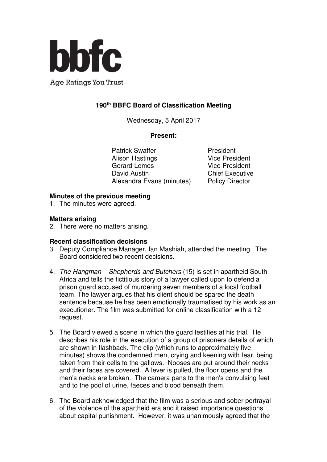

**Age Ratings You Trust** 

# **190th BBFC Board of Classification Meeting**

Wednesday, 5 April 2017

#### **Present:**

Patrick Swaffer **President** Alison Hastings **Vice President** Gerard Lemos Vice President David Austin **Chief Executive** Alexandra Evans (minutes) Policy Director

## **Minutes of the previous meeting**

1. The minutes were agreed.

# **Matters arising**

2. There were no matters arising.

## **Recent classification decisions**

- 3. Deputy Compliance Manager, Ian Mashiah, attended the meeting. The Board considered two recent decisions.
- 4. The Hangman Shepherds and Butchers (15) is set in apartheid South Africa and tells the fictitious story of a lawyer called upon to defend a prison guard accused of murdering seven members of a local football team. The lawyer argues that his client should be spared the death sentence because he has been emotionally traumatised by his work as an executioner. The film was submitted for online classification with a 12 request.
- 5. The Board viewed a scene in which the guard testifies at his trial. He describes his role in the execution of a group of prisoners details of which are shown in flashback. The clip (which runs to approximately five minutes) shows the condemned men, crying and keening with fear, being taken from their cells to the gallows. Nooses are put around their necks and their faces are covered. A lever is pulled, the floor opens and the men's necks are broken. The camera pans to the men's convulsing feet and to the pool of urine, faeces and blood beneath them.
- 6. The Board acknowledged that the film was a serious and sober portrayal of the violence of the apartheid era and it raised importance questions about capital punishment. However, it was unanimously agreed that the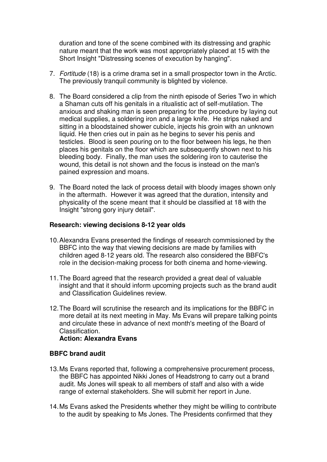duration and tone of the scene combined with its distressing and graphic nature meant that the work was most appropriately placed at 15 with the Short Insight "Distressing scenes of execution by hanging".

- 7. Fortitude (18) is a crime drama set in a small prospector town in the Arctic. The previously tranquil community is blighted by violence.
- 8. The Board considered a clip from the ninth episode of Series Two in which a Shaman cuts off his genitals in a ritualistic act of self-mutilation. The anxious and shaking man is seen preparing for the procedure by laying out medical supplies, a soldering iron and a large knife. He strips naked and sitting in a bloodstained shower cubicle, injects his groin with an unknown liquid. He then cries out in pain as he begins to sever his penis and testicles. Blood is seen pouring on to the floor between his legs, he then places his genitals on the floor which are subsequently shown next to his bleeding body. Finally, the man uses the soldering iron to cauterise the wound, this detail is not shown and the focus is instead on the man's pained expression and moans.
- 9. The Board noted the lack of process detail with bloody images shown only in the aftermath. However it was agreed that the duration, intensity and physicality of the scene meant that it should be classified at 18 with the Insight "strong gory injury detail".

#### **Research: viewing decisions 8-12 year olds**

- 10. Alexandra Evans presented the findings of research commissioned by the BBFC into the way that viewing decisions are made by families with children aged 8-12 years old. The research also considered the BBFC's role in the decision-making process for both cinema and home-viewing.
- 11. The Board agreed that the research provided a great deal of valuable insight and that it should inform upcoming projects such as the brand audit and Classification Guidelines review.
- 12. The Board will scrutinise the research and its implications for the BBFC in more detail at its next meeting in May. Ms Evans will prepare talking points and circulate these in advance of next month's meeting of the Board of Classification.

#### **Action: Alexandra Evans**

#### **BBFC brand audit**

- 13. Ms Evans reported that, following a comprehensive procurement process, the BBFC has appointed Nikki Jones of Headstrong to carry out a brand audit. Ms Jones will speak to all members of staff and also with a wide range of external stakeholders. She will submit her report in June.
- 14. Ms Evans asked the Presidents whether they might be willing to contribute to the audit by speaking to Ms Jones. The Presidents confirmed that they